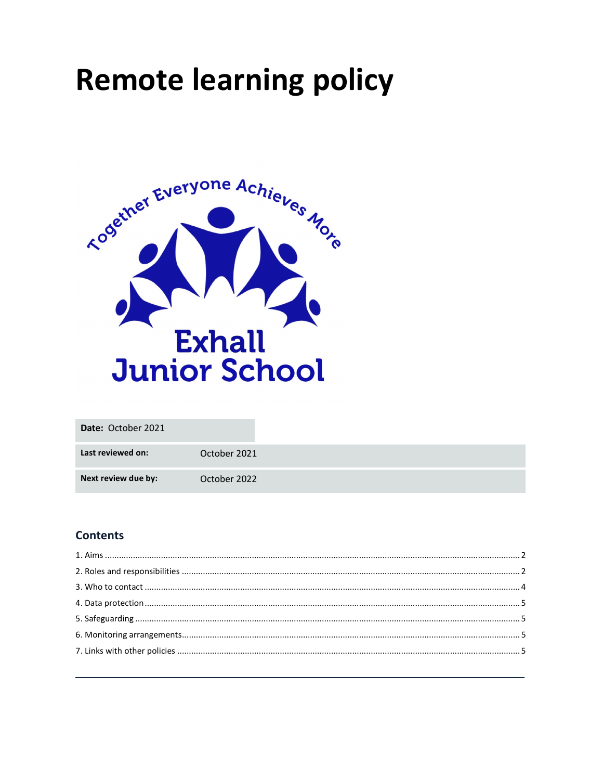# **Remote learning policy**



| Date: October 2021  |              |
|---------------------|--------------|
| Last reviewed on:   | October 2021 |
| Next review due by: | October 2022 |

# **Contents**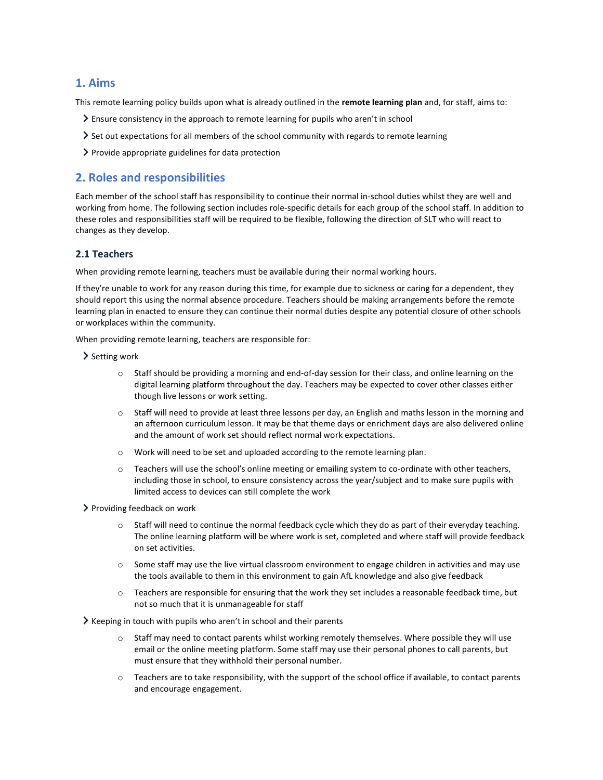# 1. Aims

This remote learning policy builds upon what is already outlined in the remote learning plan and, for staff, aims to:

- Ensure consistency in the approach to remote learning for pupils who aren't in school
- Set out expectations for all members of the school community with regards to remote learning
- $\triangleright$  Provide appropriate guidelines for data protection

# 2. Roles and responsibilities

Each member of the school staff has responsibility to continue their normal in-school duties whilst they are well and working from home. The following section includes role-specific details for each group of the school staff. In addition to these roles and responsibilities staff will be required to be flexible, following the direction of SLT who will react to changes as they develop.

## 2.1 Teachers

When providing remote learning, teachers must be available during their normal working hours.

If they're unable to work for any reason during this time, for example due to sickness or caring for a dependent, they should report this using the normal absence procedure. Teachers should be making arrangements before the remote learning plan in enacted to ensure they can continue their normal duties despite any potential closure of other schools or workplaces within the community.

When providing remote learning, teachers are responsible for:

- > Setting work
	- o Staff should be providing a morning and end-of-day session for their class, and online learning on the digital learning platform throughout the day. Teachers may be expected to cover other classes either though live lessons or work setting.
	- o Staff will need to provide at least three lessons per day, an English and maths lesson in the morning and an afternoon curriculum lesson. It may be that theme days or enrichment days are also delivered online and the amount of work set should reflect normal work expectations.
	- o Work will need to be set and uploaded according to the remote learning plan.
	- o Teachers will use the school's online meeting or emailing system to co-ordinate with other teachers, including those in school, to ensure consistency across the year/subject and to make sure pupils with limited access to devices can still complete the work
- Providing feedback on work
	- Staff will need to continue the normal feedback cycle which they do as part of their everyday teaching. The online learning platform will be where work is set, completed and where staff will provide feedback on set activities.
	- o Some staff may use the live virtual classroom environment to engage children in activities and may use the tools available to them in this environment to gain AfL knowledge and also give feedback
	- o Teachers are responsible for ensuring that the work they set includes a reasonable feedback time, but not so much that it is unmanageable for staff

 $\geq$  Keeping in touch with pupils who aren't in school and their parents

- o Staff may need to contact parents whilst working remotely themselves. Where possible they will use email or the online meeting platform. Some staff may use their personal phones to call parents, but must ensure that they withhold their personal number.
- o Teachers are to take responsibility, with the support of the school office if available, to contact parents and encourage engagement.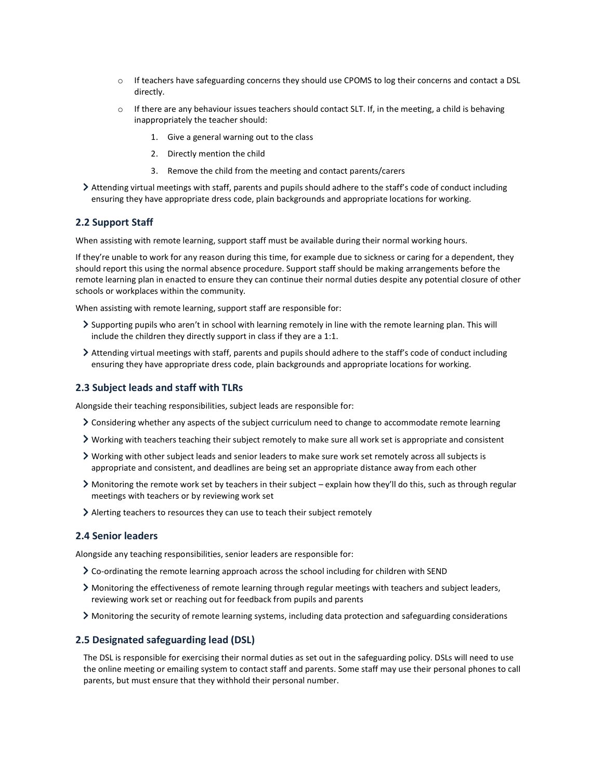- o If teachers have safeguarding concerns they should use CPOMS to log their concerns and contact a DSL directly.
- $\circ$  If there are any behaviour issues teachers should contact SLT. If, in the meeting, a child is behaving inappropriately the teacher should:
	- 1. Give a general warning out to the class
	- 2. Directly mention the child
	- 3. Remove the child from the meeting and contact parents/carers
- Attending virtual meetings with staff, parents and pupils should adhere to the staff's code of conduct including ensuring they have appropriate dress code, plain backgrounds and appropriate locations for working.

## 2.2 Support Staff

When assisting with remote learning, support staff must be available during their normal working hours.

If they're unable to work for any reason during this time, for example due to sickness or caring for a dependent, they should report this using the normal absence procedure. Support staff should be making arrangements before the remote learning plan in enacted to ensure they can continue their normal duties despite any potential closure of other schools or workplaces within the community.

When assisting with remote learning, support staff are responsible for:

- Supporting pupils who aren't in school with learning remotely in line with the remote learning plan. This will include the children they directly support in class if they are a 1:1.
- Attending virtual meetings with staff, parents and pupils should adhere to the staff's code of conduct including ensuring they have appropriate dress code, plain backgrounds and appropriate locations for working.

#### 2.3 Subject leads and staff with TLRs

Alongside their teaching responsibilities, subject leads are responsible for:

- Considering whether any aspects of the subject curriculum need to change to accommodate remote learning
- Working with teachers teaching their subject remotely to make sure all work set is appropriate and consistent
- Working with other subject leads and senior leaders to make sure work set remotely across all subjects is appropriate and consistent, and deadlines are being set an appropriate distance away from each other
- Monitoring the remote work set by teachers in their subject explain how they'll do this, such as through regular meetings with teachers or by reviewing work set
- Alerting teachers to resources they can use to teach their subject remotely

## 2.4 Senior leaders

Alongside any teaching responsibilities, senior leaders are responsible for:

- Co-ordinating the remote learning approach across the school including for children with SEND
- Monitoring the effectiveness of remote learning through regular meetings with teachers and subject leaders, reviewing work set or reaching out for feedback from pupils and parents
- Monitoring the security of remote learning systems, including data protection and safeguarding considerations

#### 2.5 Designated safeguarding lead (DSL)

The DSL is responsible for exercising their normal duties as set out in the safeguarding policy. DSLs will need to use the online meeting or emailing system to contact staff and parents. Some staff may use their personal phones to call parents, but must ensure that they withhold their personal number.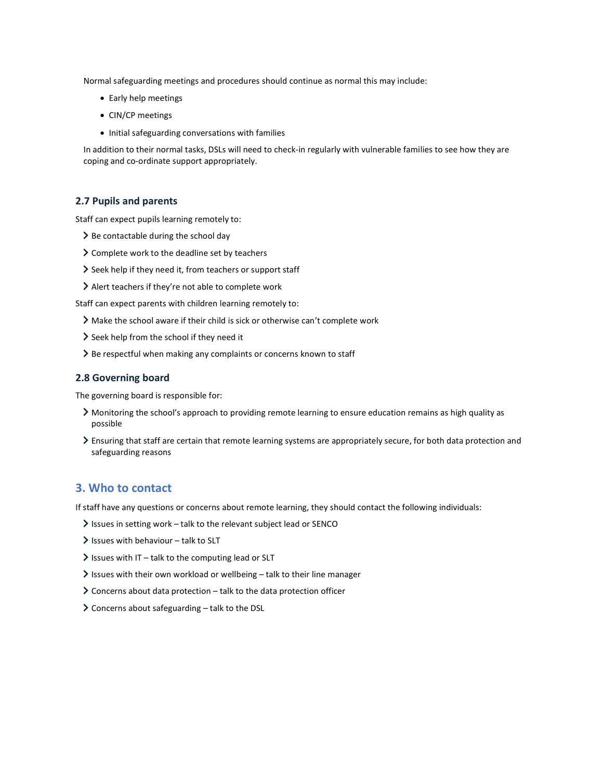Normal safeguarding meetings and procedures should continue as normal this may include:

- Early help meetings
- CIN/CP meetings
- Initial safeguarding conversations with families

In addition to their normal tasks, DSLs will need to check-in regularly with vulnerable families to see how they are coping and co-ordinate support appropriately.

## 2.7 Pupils and parents

Staff can expect pupils learning remotely to:

- $\geq$  Be contactable during the school day
- Complete work to the deadline set by teachers
- $\geq$  Seek help if they need it, from teachers or support staff
- Alert teachers if they're not able to complete work

Staff can expect parents with children learning remotely to:

- Make the school aware if their child is sick or otherwise can't complete work
- Seek help from the school if they need it
- > Be respectful when making any complaints or concerns known to staff

#### 2.8 Governing board

The governing board is responsible for:

- Monitoring the school's approach to providing remote learning to ensure education remains as high quality as possible
- Ensuring that staff are certain that remote learning systems are appropriately secure, for both data protection and safeguarding reasons

# 3. Who to contact

If staff have any questions or concerns about remote learning, they should contact the following individuals:

- $\ge$  Issues in setting work talk to the relevant subject lead or SENCO
- $\ge$  Issues with behaviour talk to SLT
- $\ge$  Issues with IT talk to the computing lead or SLT
- Issues with their own workload or wellbeing talk to their line manager
- $\geq$  Concerns about data protection talk to the data protection officer
- $\geq$  Concerns about safeguarding talk to the DSL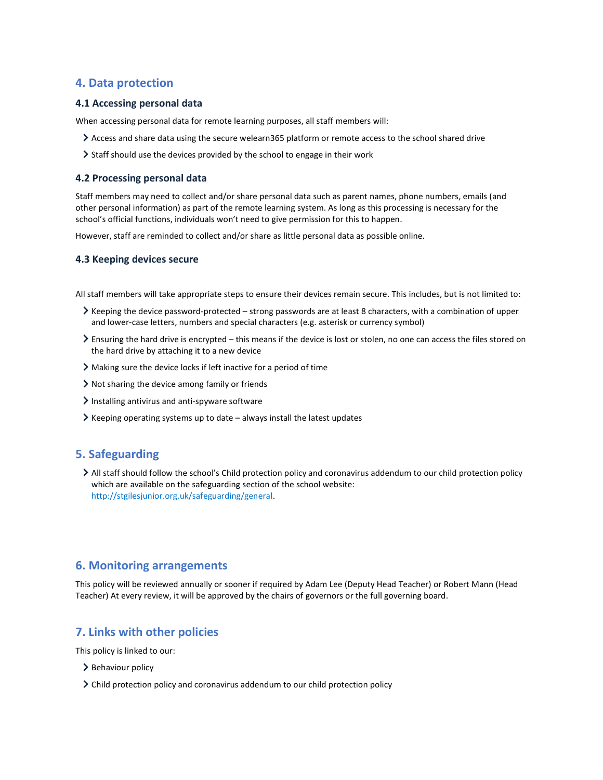# 4. Data protection

## 4.1 Accessing personal data

When accessing personal data for remote learning purposes, all staff members will:

- Access and share data using the secure welearn365 platform or remote access to the school shared drive
- Staff should use the devices provided by the school to engage in their work

#### 4.2 Processing personal data

Staff members may need to collect and/or share personal data such as parent names, phone numbers, emails (and other personal information) as part of the remote learning system. As long as this processing is necessary for the school's official functions, individuals won't need to give permission for this to happen.

However, staff are reminded to collect and/or share as little personal data as possible online.

## 4.3 Keeping devices secure

All staff members will take appropriate steps to ensure their devices remain secure. This includes, but is not limited to:

- Keeping the device password-protected strong passwords are at least 8 characters, with a combination of upper and lower-case letters, numbers and special characters (e.g. asterisk or currency symbol)
- Ensuring the hard drive is encrypted this means if the device is lost or stolen, no one can access the files stored on the hard drive by attaching it to a new device
- Making sure the device locks if left inactive for a period of time
- Not sharing the device among family or friends
- Installing antivirus and anti-spyware software
- $\blacktriangleright$  Keeping operating systems up to date always install the latest updates

# 5. Safeguarding

All staff should follow the school's Child protection policy and coronavirus addendum to our child protection policy which are available on the safeguarding section of the school website: http://stgilesjunior.org.uk/safeguarding/general.

## 6. Monitoring arrangements

This policy will be reviewed annually or sooner if required by Adam Lee (Deputy Head Teacher) or Robert Mann (Head Teacher) At every review, it will be approved by the chairs of governors or the full governing board.

## 7. Links with other policies

This policy is linked to our:

- > Behaviour policy
- Child protection policy and coronavirus addendum to our child protection policy